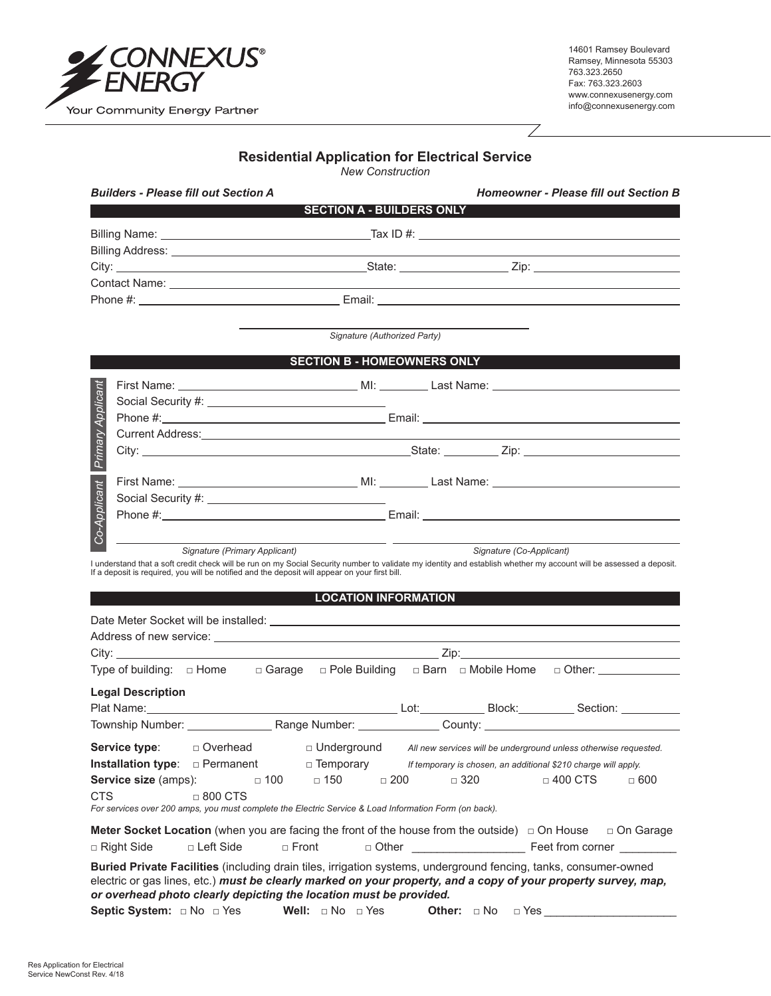

14601 Ramsey Boulevard Ramsey, Minnesota 55303 763.323.2650 Fax: 763.323.2603 www.connexusenergy.com info@connexusenergy.com

## **Residential Application for Electrical Service**

*New Construction*

|                   | <b>Builders - Please fill out Section A</b> |                                                                                                                                                                                                                                      | Homeowner - Please fill out Section B |  |
|-------------------|---------------------------------------------|--------------------------------------------------------------------------------------------------------------------------------------------------------------------------------------------------------------------------------------|---------------------------------------|--|
|                   |                                             | <b>SECTION A - BUILDERS ONLY</b>                                                                                                                                                                                                     |                                       |  |
|                   |                                             |                                                                                                                                                                                                                                      |                                       |  |
|                   |                                             |                                                                                                                                                                                                                                      |                                       |  |
|                   |                                             |                                                                                                                                                                                                                                      |                                       |  |
|                   |                                             |                                                                                                                                                                                                                                      |                                       |  |
|                   |                                             |                                                                                                                                                                                                                                      |                                       |  |
|                   |                                             | Signature (Authorized Party)<br><b>SECTION B - HOMEOWNERS ONLY</b>                                                                                                                                                                   |                                       |  |
| Primary Applicant |                                             |                                                                                                                                                                                                                                      |                                       |  |
|                   |                                             |                                                                                                                                                                                                                                      |                                       |  |
|                   |                                             |                                                                                                                                                                                                                                      |                                       |  |
|                   |                                             | Current Address: <u>Carl Andress: Address: Address: Address: Address: Address: Address: Address: Address: Address: Address: Address: Address: Address: Address: Address: Address: Address: Address: Address: Address: Address: A</u> |                                       |  |
|                   |                                             |                                                                                                                                                                                                                                      |                                       |  |
| $\approx$         |                                             |                                                                                                                                                                                                                                      |                                       |  |

 $\overline{\diagup}$ 

## **LOCATION INFORMATION**

|                   |                          | Current Address: University of the Contract of the Contract of the Contract of the Contract of the Contract of                                                                                                                 |                             |                                                                                     |                |            |
|-------------------|--------------------------|--------------------------------------------------------------------------------------------------------------------------------------------------------------------------------------------------------------------------------|-----------------------------|-------------------------------------------------------------------------------------|----------------|------------|
| Primary Applicant |                          |                                                                                                                                                                                                                                |                             |                                                                                     |                |            |
|                   |                          |                                                                                                                                                                                                                                |                             |                                                                                     |                |            |
|                   |                          |                                                                                                                                                                                                                                |                             |                                                                                     |                |            |
|                   |                          |                                                                                                                                                                                                                                |                             |                                                                                     |                |            |
| Co-Applicant      |                          |                                                                                                                                                                                                                                |                             |                                                                                     |                |            |
|                   |                          | Signature (Primary Applicant)                                                                                                                                                                                                  |                             |                                                                                     |                |            |
|                   |                          | I understand that a soft credit check will be run on my Social Security number to validate my identity and establish whether my account will be assessed a deposit.                                                            |                             | Signature (Co-Applicant)                                                            |                |            |
|                   |                          | If a deposit is required, you will be notified and the deposit will appear on your first bill.                                                                                                                                 |                             |                                                                                     |                |            |
|                   |                          |                                                                                                                                                                                                                                | <b>LOCATION INFORMATION</b> |                                                                                     |                |            |
|                   |                          |                                                                                                                                                                                                                                |                             |                                                                                     |                |            |
|                   |                          |                                                                                                                                                                                                                                |                             |                                                                                     |                |            |
|                   |                          |                                                                                                                                                                                                                                |                             |                                                                                     |                |            |
|                   |                          | Type of building: $\Box$ Home $\Box$ Garage $\Box$ Pole Building $\Box$ Barn $\Box$ Mobile Home $\Box$ Other:                                                                                                                  |                             |                                                                                     |                |            |
|                   |                          |                                                                                                                                                                                                                                |                             |                                                                                     |                |            |
|                   | <b>Legal Description</b> |                                                                                                                                                                                                                                |                             |                                                                                     |                |            |
|                   |                          | Plat Name: Section: Section: Section: Section: Section: Section: Section: Section: Section: Section: Section: Section: Section: Section: Section: Section: Section: Section: Section: Section: Section: Section: Section: Sect |                             |                                                                                     |                |            |
|                   |                          |                                                                                                                                                                                                                                |                             |                                                                                     |                |            |
|                   |                          | Service type: $\Box$ Overhead                                                                                                                                                                                                  |                             | $\Box$ Underground All new services will be underground unless otherwise requested. |                |            |
|                   |                          | <b>Installation type</b> : $\Box$ Permanent $\Box$ Temporary <i>If temporary is chosen, an additional \$210 charge will apply.</i>                                                                                             |                             |                                                                                     |                |            |
|                   |                          | <b>Service size</b> (amps): $\Box$ 100 $\Box$ 150 $\Box$ 200 $\Box$ 320                                                                                                                                                        |                             |                                                                                     | $\Box$ 400 CTS | $\Box$ 600 |
| <b>CTS</b>        |                          | $\Box$ 800 CTS                                                                                                                                                                                                                 |                             |                                                                                     |                |            |
|                   |                          | For services over 200 amps, you must complete the Electric Service & Load Information Form (on back).                                                                                                                          |                             |                                                                                     |                |            |
|                   |                          | <b>Meter Socket Location</b> (when you are facing the front of the house from the outside) $\Box$ On House $\Box$ On Garage                                                                                                    |                             |                                                                                     |                |            |
|                   |                          |                                                                                                                                                                                                                                |                             |                                                                                     |                |            |
|                   |                          | Buried Private Facilities (including drain tiles, irrigation systems, underground fencing, tanks, consumer-owned                                                                                                               |                             |                                                                                     |                |            |
|                   |                          | electric or gas lines, etc.) must be clearly marked on your property, and a copy of your property survey, map,                                                                                                                 |                             |                                                                                     |                |            |
|                   |                          | or overhead photo clearly depicting the location must be provided.                                                                                                                                                             |                             |                                                                                     |                |            |
|                   |                          | Septic System: $\Box$ No $\Box$ Yes Well: $\Box$ No $\Box$ Yes Other: $\Box$ No $\Box$ Yes                                                                                                                                     |                             |                                                                                     |                |            |